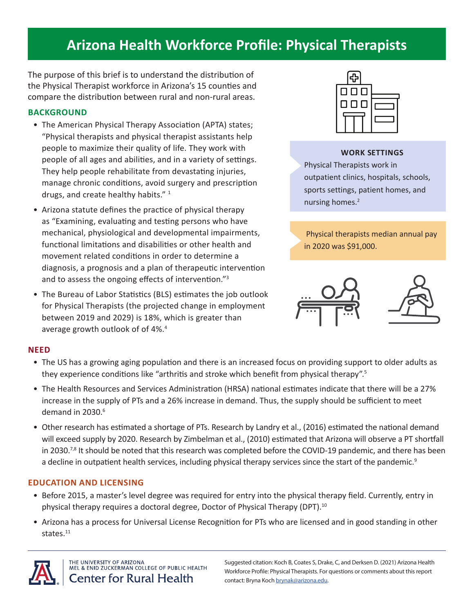# **Arizona Health Workforce Profile: Physical Therapists**

The purpose of this brief is to understand the distribution of the Physical Therapist workforce in Arizona's 15 counties and compare the distribution between rural and non-rural areas.

## **BACKGROUND**

- The American Physical Therapy Association (APTA) states; "Physical therapists and physical therapist assistants help people to maximize their quality of life. They work with people of all ages and abilities, and in a variety of settings. They help people rehabilitate from devastating injuries, manage chronic conditions, avoid surgery and prescription drugs, and create healthy habits."<sup>1</sup>
- Arizona statute defines the practice of physical therapy as "Examining, evaluating and testing persons who have mechanical, physiological and developmental impairments, functional limitations and disabilities or other health and movement related conditions in order to determine a diagnosis, a prognosis and a plan of therapeutic intervention and to assess the ongoing effects of intervention."<sup>3</sup>
- The Bureau of Labor Statistics (BLS) estimates the job outlook for Physical Therapists (the projected change in employment between 2019 and 2029) is 18%, which is greater than average growth outlook of of 4%.4



## **WORK SETTINGS**  Physical Therapists work in outpatient clinics, hospitals, schools, sports settings, patient homes, and nursing homes.<sup>2</sup>

 Physical therapists median annual pay in 2020 was \$91,000.



## **NEED**

- The US has a growing aging population and there is an increased focus on providing support to older adults as they experience conditions like "arthritis and stroke which benefit from physical therapy".5
- The Health Resources and Services Administration (HRSA) national estimates indicate that there will be a 27% increase in the supply of PTs and a 26% increase in demand. Thus, the supply should be sufficient to meet demand in 2030.<sup>6</sup>
- Other research has estimated a shortage of PTs. Research by Landry et al., (2016) estimated the national demand will exceed supply by 2020. Research by Zimbelman et al., (2010) estimated that Arizona will observe a PT shortfall in 2030.<sup>7,8</sup> It should be noted that this research was completed before the COVID-19 pandemic, and there has been a decline in outpatient health services, including physical therapy services since the start of the pandemic.<sup>9</sup>

## **EDUCATION AND LICENSING**

- Before 2015, a master's level degree was required for entry into the physical therapy field. Currently, entry in physical therapy requires a doctoral degree, Doctor of Physical Therapy (DPT).<sup>10</sup>
- Arizona has a process for Universal License Recognition for PTs who are licensed and in good standing in other states.<sup>11</sup>



THE UNIVERSITY OF ARIZONA MEL & ENID ZUCKERMAN COLLEGE OF PUBLIC HEALTH **Center for Rural Health** 

Suggested citation: Koch B, Coates S, Drake, C, and Derksen D. (2021) Arizona Health Workforce Profile: Physical Therapists. For questions or comments about this report contact: Bryna Koch [brynak@arizona.edu](mailto:brynak@arizona.edu).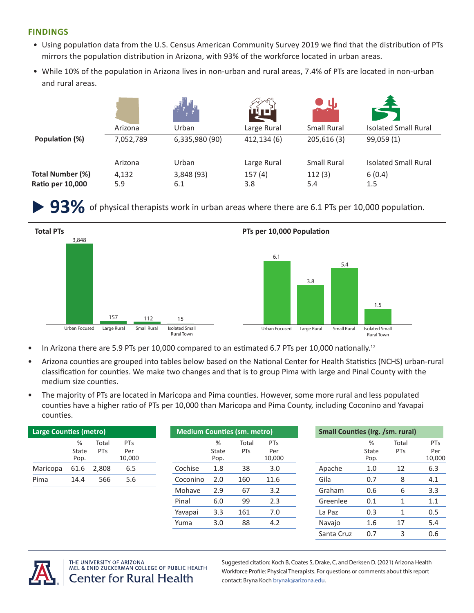#### **FINDINGS**

- Using population data from the U.S. Census American Community Survey 2019 we find that the distribution of PTs mirrors the population distribution in Arizona, with 93% of the workforce located in urban areas.
- While 10% of the population in Arizona lives in non-urban and rural areas, 7.4% of PTs are located in non-urban and rural areas.

|                         |           |                | <u>TTT</u>  |                    |                             |
|-------------------------|-----------|----------------|-------------|--------------------|-----------------------------|
|                         | Arizona   | Urban          | Large Rural | <b>Small Rural</b> | <b>Isolated Small Rural</b> |
| Population (%)          | 7,052,789 | 6,335,980 (90) | 412,134(6)  | 205,616(3)         | 99,059 (1)                  |
|                         | Arizona   | Urban          | Large Rural | <b>Small Rural</b> | <b>Isolated Small Rural</b> |
| <b>Total Number (%)</b> | 4,132     | 3,848 (93)     | 157(4)      | 112(3)             | 6(0.4)                      |
| Ratio per 10,000        | 5.9       | 6.1            | 3.8         | 5.4                | 1.5                         |

**93%** of physical therapists work in urban areas where there are 6.1 PTs per 10,000 population.



- In Arizona there are 5.9 PTs per 10,000 compared to an estimated 6.7 PTs per 10,000 nationally.<sup>12</sup>
- Arizona counties are grouped into tables below based on the National Center for Health Statistics (NCHS) urban-rural classification for counties. We make two changes and that is to group Pima with large and Pinal County with the medium size counties.
- The majority of PTs are located in Maricopa and Pima counties. However, some more rural and less populated counties have a higher ratio of PTs per 10,000 than Maricopa and Pima County, including Coconino and Yavapai counties.

| <b>Large Counties (metro)</b> |               |            |               | <b>Medium Counties (sm. metro)</b> |               |       |               | <b>Small Counties (Irg. /sm. rural)</b> |               |            |        |
|-------------------------------|---------------|------------|---------------|------------------------------------|---------------|-------|---------------|-----------------------------------------|---------------|------------|--------|
|                               | %             | Total      | <b>PTs</b>    |                                    | %             | Total | <b>PTs</b>    |                                         | %             | Total      |        |
|                               | State<br>Pop. | <b>PTs</b> | Per<br>10,000 |                                    | State<br>Pop. | PTs   | Per<br>10,000 |                                         | State<br>Pop. | <b>PTs</b> | 10,000 |
| Maricopa                      | 61.6          | 2,808      | 6.5           | Cochise                            | 1.8           | 38    | 3.0           | Apache                                  | 1.0           | 12         |        |
| Pima<br>14.4                  |               | 566        | 5.6           | Coconino                           | 2.0           | 160   | 11.6          | Gila                                    | 0.7           | 8          |        |
|                               |               |            |               | Mohave                             | 2.9           | 67    | 3.2           | Graham                                  | 0.6           | 6          |        |
|                               |               |            | Pinal         | 6.0                                | 99            | 2.3   | Greenlee      | 0.1                                     |               |            |        |
|                               |               |            |               | Yavapai                            | 3.3           | 161   | 7.0           | La Paz                                  | 0.3           |            |        |
|                               |               |            |               | Yuma                               | 3.0           | 88    | 4.2           | Navajo                                  | 1.6           | 17         |        |
|                               |               |            |               |                                    |               |       |               | Santa Cruz                              | 0.7           | 3          |        |



THE UNIVERSITY OF ARIZONA MEL & ENID ZUCKERMAN COLLEGE OF PUBLIC HEALTH **Center for Rural Health** 

Suggested citation: Koch B, Coates S, Drake, C, and Derksen D. (2021) Arizona Health Workforce Profile: Physical Therapists. For questions or comments about this report contact: Bryna Koch [brynak@arizona.edu](mailto:brynak@arizona.edu).